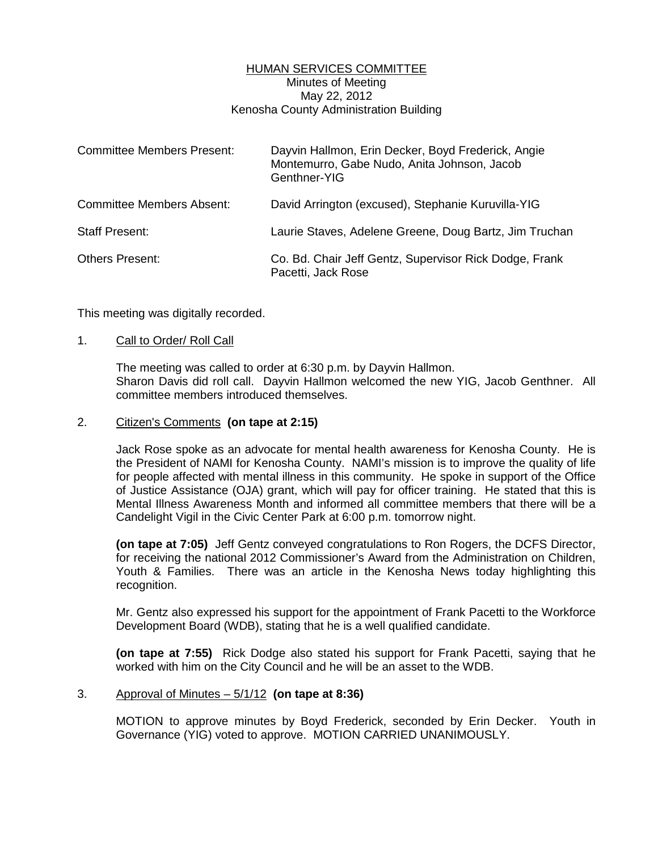## HUMAN SERVICES COMMITTEE Minutes of Meeting May 22, 2012 Kenosha County Administration Building

| <b>Committee Members Present:</b> | Dayvin Hallmon, Erin Decker, Boyd Frederick, Angie<br>Montemurro, Gabe Nudo, Anita Johnson, Jacob<br>Genthner-YIG |
|-----------------------------------|-------------------------------------------------------------------------------------------------------------------|
| <b>Committee Members Absent:</b>  | David Arrington (excused), Stephanie Kuruvilla-YIG                                                                |
| <b>Staff Present:</b>             | Laurie Staves, Adelene Greene, Doug Bartz, Jim Truchan                                                            |
| <b>Others Present:</b>            | Co. Bd. Chair Jeff Gentz, Supervisor Rick Dodge, Frank<br>Pacetti, Jack Rose                                      |

This meeting was digitally recorded.

#### 1. Call to Order/ Roll Call

 The meeting was called to order at 6:30 p.m. by Dayvin Hallmon. Sharon Davis did roll call. Dayvin Hallmon welcomed the new YIG, Jacob Genthner. All committee members introduced themselves.

### 2. Citizen's Comments **(on tape at 2:15)**

 Jack Rose spoke as an advocate for mental health awareness for Kenosha County. He is the President of NAMI for Kenosha County. NAMI's mission is to improve the quality of life for people affected with mental illness in this community. He spoke in support of the Office of Justice Assistance (OJA) grant, which will pay for officer training. He stated that this is Mental Illness Awareness Month and informed all committee members that there will be a Candelight Vigil in the Civic Center Park at 6:00 p.m. tomorrow night.

**(on tape at 7:05)** Jeff Gentz conveyed congratulations to Ron Rogers, the DCFS Director, for receiving the national 2012 Commissioner's Award from the Administration on Children, Youth & Families. There was an article in the Kenosha News today highlighting this recognition.

 Mr. Gentz also expressed his support for the appointment of Frank Pacetti to the Workforce Development Board (WDB), stating that he is a well qualified candidate.

**(on tape at 7:55)** Rick Dodge also stated his support for Frank Pacetti, saying that he worked with him on the City Council and he will be an asset to the WDB.

#### 3. Approval of Minutes – 5/1/12 **(on tape at 8:36)**

 MOTION to approve minutes by Boyd Frederick, seconded by Erin Decker. Youth in Governance (YIG) voted to approve. MOTION CARRIED UNANIMOUSLY.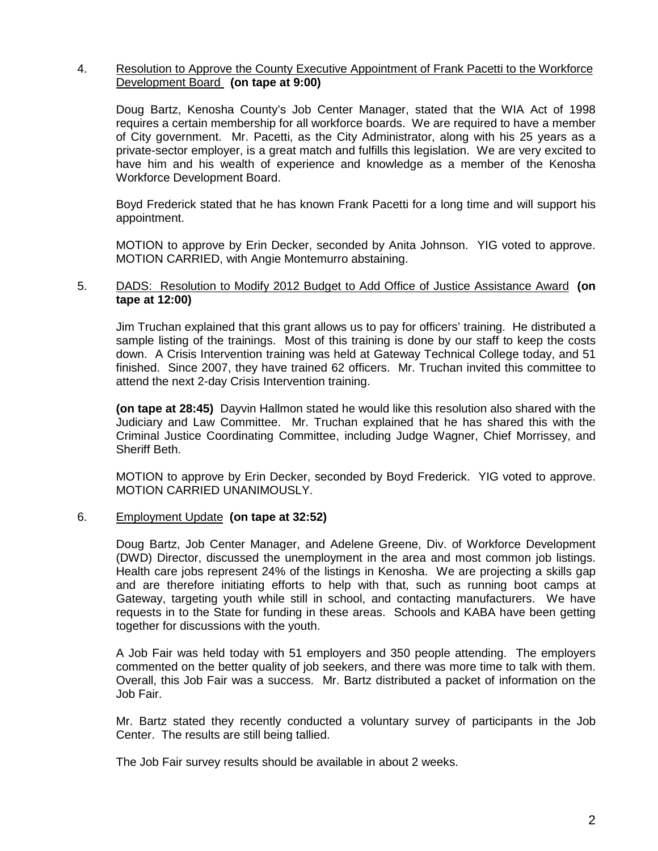### 4. Resolution to Approve the County Executive Appointment of Frank Pacetti to the Workforce Development Board **(on tape at 9:00)**

 Doug Bartz, Kenosha County's Job Center Manager, stated that the WIA Act of 1998 requires a certain membership for all workforce boards. We are required to have a member of City government. Mr. Pacetti, as the City Administrator, along with his 25 years as a private-sector employer, is a great match and fulfills this legislation. We are very excited to have him and his wealth of experience and knowledge as a member of the Kenosha Workforce Development Board.

 Boyd Frederick stated that he has known Frank Pacetti for a long time and will support his appointment.

 MOTION to approve by Erin Decker, seconded by Anita Johnson. YIG voted to approve. MOTION CARRIED, with Angie Montemurro abstaining.

#### 5. DADS: Resolution to Modify 2012 Budget to Add Office of Justice Assistance Award **(on tape at 12:00)**

 Jim Truchan explained that this grant allows us to pay for officers' training. He distributed a sample listing of the trainings. Most of this training is done by our staff to keep the costs down. A Crisis Intervention training was held at Gateway Technical College today, and 51 finished. Since 2007, they have trained 62 officers. Mr. Truchan invited this committee to attend the next 2-day Crisis Intervention training.

**(on tape at 28:45)** Dayvin Hallmon stated he would like this resolution also shared with the Judiciary and Law Committee. Mr. Truchan explained that he has shared this with the Criminal Justice Coordinating Committee, including Judge Wagner, Chief Morrissey, and Sheriff Beth.

 MOTION to approve by Erin Decker, seconded by Boyd Frederick. YIG voted to approve. MOTION CARRIED UNANIMOUSLY.

## 6. Employment Update **(on tape at 32:52)**

 Doug Bartz, Job Center Manager, and Adelene Greene, Div. of Workforce Development (DWD) Director, discussed the unemployment in the area and most common job listings. Health care jobs represent 24% of the listings in Kenosha. We are projecting a skills gap and are therefore initiating efforts to help with that, such as running boot camps at Gateway, targeting youth while still in school, and contacting manufacturers. We have requests in to the State for funding in these areas. Schools and KABA have been getting together for discussions with the youth.

 A Job Fair was held today with 51 employers and 350 people attending. The employers commented on the better quality of job seekers, and there was more time to talk with them. Overall, this Job Fair was a success. Mr. Bartz distributed a packet of information on the Job Fair.

 Mr. Bartz stated they recently conducted a voluntary survey of participants in the Job Center. The results are still being tallied.

The Job Fair survey results should be available in about 2 weeks.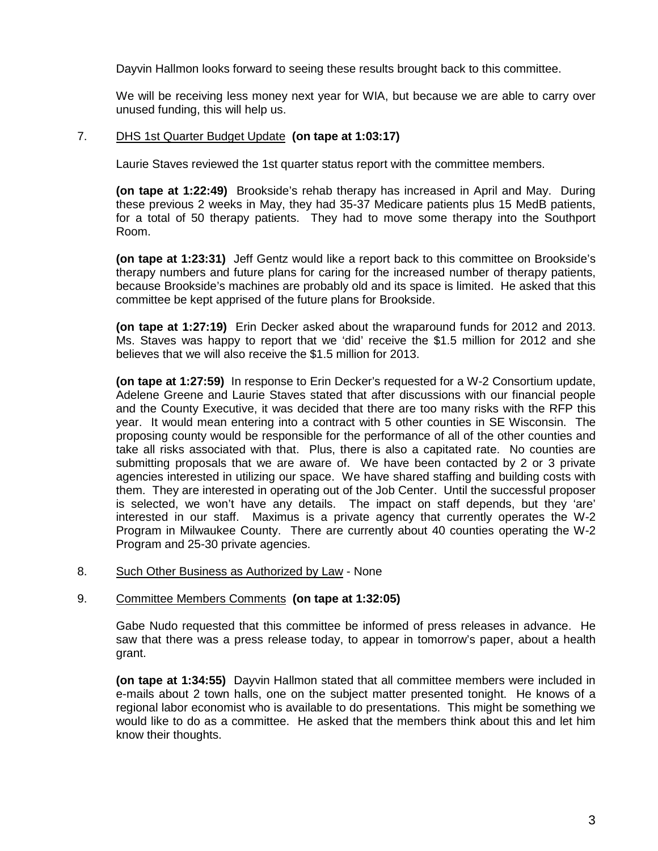Dayvin Hallmon looks forward to seeing these results brought back to this committee.

 We will be receiving less money next year for WIA, but because we are able to carry over unused funding, this will help us.

## 7. DHS 1st Quarter Budget Update **(on tape at 1:03:17)**

Laurie Staves reviewed the 1st quarter status report with the committee members.

**(on tape at 1:22:49)** Brookside's rehab therapy has increased in April and May. During these previous 2 weeks in May, they had 35-37 Medicare patients plus 15 MedB patients, for a total of 50 therapy patients. They had to move some therapy into the Southport Room.

**(on tape at 1:23:31)** Jeff Gentz would like a report back to this committee on Brookside's therapy numbers and future plans for caring for the increased number of therapy patients, because Brookside's machines are probably old and its space is limited. He asked that this committee be kept apprised of the future plans for Brookside.

**(on tape at 1:27:19)** Erin Decker asked about the wraparound funds for 2012 and 2013. Ms. Staves was happy to report that we 'did' receive the \$1.5 million for 2012 and she believes that we will also receive the \$1.5 million for 2013.

**(on tape at 1:27:59)** In response to Erin Decker's requested for a W-2 Consortium update, Adelene Greene and Laurie Staves stated that after discussions with our financial people and the County Executive, it was decided that there are too many risks with the RFP this year. It would mean entering into a contract with 5 other counties in SE Wisconsin. The proposing county would be responsible for the performance of all of the other counties and take all risks associated with that. Plus, there is also a capitated rate. No counties are submitting proposals that we are aware of. We have been contacted by 2 or 3 private agencies interested in utilizing our space. We have shared staffing and building costs with them. They are interested in operating out of the Job Center. Until the successful proposer is selected, we won't have any details. The impact on staff depends, but they 'are' interested in our staff. Maximus is a private agency that currently operates the W-2 Program in Milwaukee County. There are currently about 40 counties operating the W-2 Program and 25-30 private agencies.

8. Such Other Business as Authorized by Law - None

#### 9. Committee Members Comments **(on tape at 1:32:05)**

 Gabe Nudo requested that this committee be informed of press releases in advance. He saw that there was a press release today, to appear in tomorrow's paper, about a health grant.

**(on tape at 1:34:55)** Dayvin Hallmon stated that all committee members were included in e-mails about 2 town halls, one on the subject matter presented tonight. He knows of a regional labor economist who is available to do presentations. This might be something we would like to do as a committee. He asked that the members think about this and let him know their thoughts.